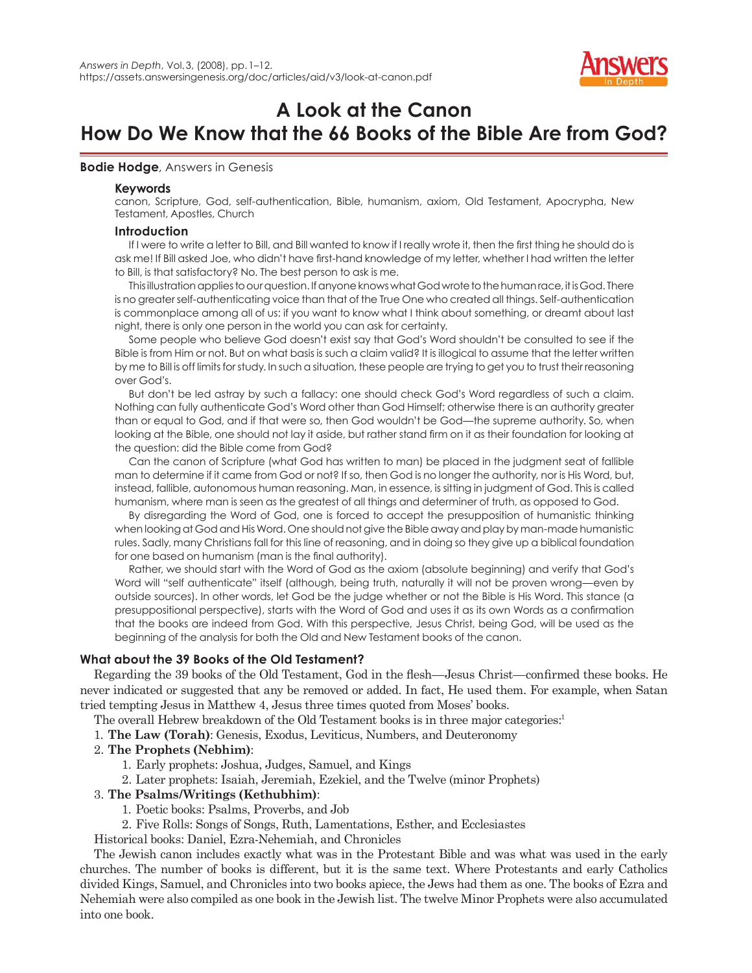

# **A Look at the Canon How Do We Know that the 66 Books of the Bible Are from God?**

## **Bodie Hodge**, Answers in Genesis

## **Keywords**

canon, Scripture, God, self-authentication, Bible, humanism, axiom, Old Testament, Apocrypha, New Testament, Apostles, Church

## **Introduction**

If I were to write a letter to Bill, and Bill wanted to know if I really wrote it, then the first thing he should do is ask me! If Bill asked Joe, who didn't have first-hand knowledge of my letter, whether I had written the letter to Bill, is that satisfactory? No. The best person to ask is me.

This illustration applies to our question. If anyone knows what God wrote to the human race, it is God. There is no greater self-authenticating voice than that of the True One who created all things. Self-authentication is commonplace among all of us: if you want to know what I think about something, or dreamt about last night, there is only one person in the world you can ask for certainty.

Some people who believe God doesn't exist say that God's Word shouldn't be consulted to see if the Bible is from Him or not. But on what basis is such a claim valid? It is illogical to assume that the letter written by me to Bill is off limits for study. In such a situation, these people are trying to get you to trust their reasoning over God's.

But don't be led astray by such a fallacy: one should check God's Word regardless of such a claim. Nothing can fully authenticate God's Word other than God Himself; otherwise there is an authority greater than or equal to God, and if that were so, then God wouldn't be God—the supreme authority. So, when looking at the Bible, one should not lay it aside, but rather stand firm on it as their foundation for looking at the question: did the Bible come from God?

Can the canon of Scripture (what God has written to man) be placed in the judgment seat of fallible man to determine if it came from God or not? If so, then God is no longer the authority, nor is His Word, but, instead, fallible, autonomous human reasoning. Man, in essence, is sitting in judgment of God. This is called humanism, where man is seen as the greatest of all things and determiner of truth, as opposed to God.

By disregarding the Word of God, one is forced to accept the presupposition of humanistic thinking when looking at God and His Word. One should not give the Bible away and play by man-made humanistic rules. Sadly, many Christians fall for this line of reasoning, and in doing so they give up a biblical foundation for one based on humanism (man is the final authority).

Rather, we should start with the Word of God as the axiom (absolute beginning) and verify that God's Word will "self authenticate" itself (although, being truth, naturally it will not be proven wrong—even by outside sources). In other words, let God be the judge whether or not the Bible is His Word. This stance (a presuppositional perspective), starts with the Word of God and uses it as its own Words as a confirmation that the books are indeed from God. With this perspective, Jesus Christ, being God, will be used as the beginning of the analysis for both the Old and New Testament books of the canon.

# **What about the 39 Books of the Old Testament?**

Regarding the 39 books of the Old Testament, God in the flesh—Jesus Christ—confirmed these books. He never indicated or suggested that any be removed or added. In fact, He used them. For example, when Satan tried tempting Jesus in Matthew 4, Jesus three times quoted from Moses' books.

The overall Hebrew breakdown of the Old Testament books is in three major categories:<sup>1</sup>

1. **The Law (Torah)**: Genesis, Exodus, Leviticus, Numbers, and Deuteronomy

## 2. **The Prophets (Nebhim)**:

- 1. Early prophets: Joshua, Judges, Samuel, and Kings
- 2. Later prophets: Isaiah, Jeremiah, Ezekiel, and the Twelve (minor Prophets)

## 3. **The Psalms/Writings (Kethubhim)**:

- 1. Poetic books: Psalms, Proverbs, and Job
- 2. Five Rolls: Songs of Songs, Ruth, Lamentations, Esther, and Ecclesiastes

Historical books: Daniel, Ezra-Nehemiah, and Chronicles

The Jewish canon includes exactly what was in the Protestant Bible and was what was used in the early churches. The number of books is different, but it is the same text. Where Protestants and early Catholics divided Kings, Samuel, and Chronicles into two books apiece, the Jews had them as one. The books of Ezra and Nehemiah were also compiled as one book in the Jewish list. The twelve Minor Prophets were also accumulated into one book.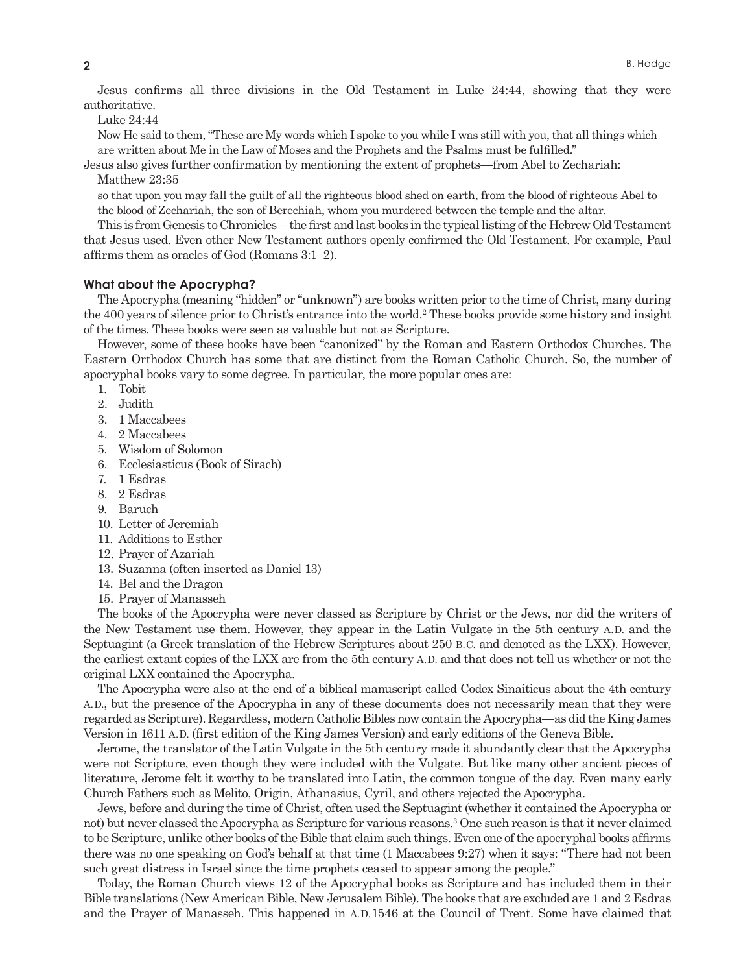Jesus confirms all three divisions in the Old Testament in Luke 24:44, showing that they were authoritative.

Luke 24:44

Now He said to them, "These are My words which I spoke to you while I was still with you, that all things which are written about Me in the Law of Moses and the Prophets and the Psalms must be fulfilled."

Jesus also gives further confirmation by mentioning the extent of prophets—from Abel to Zechariah: Matthew 23:35

so that upon you may fall the guilt of all the righteous blood shed on earth, from the blood of righteous Abel to the blood of Zechariah, the son of Berechiah, whom you murdered between the temple and the altar.

This is from Genesis to Chronicles—the first and last books in the typical listing of the Hebrew Old Testament that Jesus used. Even other New Testament authors openly confirmed the Old Testament. For example, Paul affirms them as oracles of God (Romans 3:1–2).

## **What about the Apocrypha?**

The Apocrypha (meaning "hidden" or "unknown") are books written prior to the time of Christ, many during the 400 years of silence prior to Christ's entrance into the world.<sup>2</sup> These books provide some history and insight of the times. These books were seen as valuable but not as Scripture.

However, some of these books have been "canonized" by the Roman and Eastern Orthodox Churches. The Eastern Orthodox Church has some that are distinct from the Roman Catholic Church. So, the number of apocryphal books vary to some degree. In particular, the more popular ones are:

- 1. Tobit
- 2. Judith
- 3. 1 Maccabees
- 4. 2 Maccabees
- 5. Wisdom of Solomon
- 6. Ecclesiasticus (Book of Sirach)
- 7. 1 Esdras
- 8. 2 Esdras
- 9. Baruch
- 10. Letter of Jeremiah
- 11. Additions to Esther
- 12. Prayer of Azariah
- 13. Suzanna (often inserted as Daniel 13)
- 14. Bel and the Dragon
- 15. Prayer of Manasseh

The books of the Apocrypha were never classed as Scripture by Christ or the Jews, nor did the writers of the New Testament use them. However, they appear in the Latin Vulgate in the 5th century A. D. and the Septuagint (a Greek translation of the Hebrew Scriptures about 250 B.C. and denoted as the LXX). However, the earliest extant copies of the LXX are from the 5th century A. D. and that does not tell us whether or not the original LXX contained the Apocrypha.

The Apocrypha were also at the end of a biblical manuscript called Codex Sinaiticus about the 4th century A. D., but the presence of the Apocrypha in any of these documents does not necessarily mean that they were regarded as Scripture). Regardless, modern Catholic Bibles now contain the Apocrypha—as did the King James Version in 1611 A. D. (first edition of the King James Version) and early editions of the Geneva Bible.

Jerome, the translator of the Latin Vulgate in the 5th century made it abundantly clear that the Apocrypha were not Scripture, even though they were included with the Vulgate. But like many other ancient pieces of literature, Jerome felt it worthy to be translated into Latin, the common tongue of the day. Even many early Church Fathers such as Melito, Origin, Athanasius, Cyril, and others rejected the Apocrypha.

Jews, before and during the time of Christ, often used the Septuagint (whether it contained the Apocrypha or not) but never classed the Apocrypha as Scripture for various reasons.3 One such reason is that it never claimed to be Scripture, unlike other books of the Bible that claim such things. Even one of the apocryphal books affirms there was no one speaking on God's behalf at that time (1 Maccabees 9:27) when it says: "There had not been such great distress in Israel since the time prophets ceased to appear among the people."

Today, the Roman Church views 12 of the Apocryphal books as Scripture and has included them in their Bible translations (New American Bible, New Jerusalem Bible). The books that are excluded are 1 and 2 Esdras and the Prayer of Manasseh. This happened in A.D. 1546 at the Council of Trent. Some have claimed that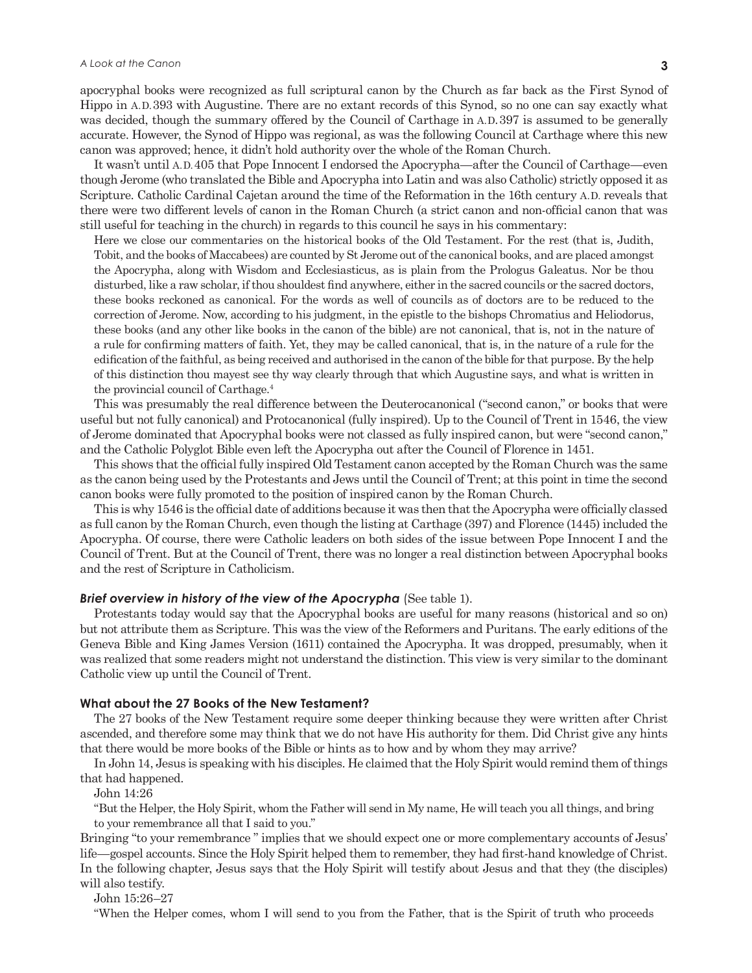apocryphal books were recognized as full scriptural canon by the Church as far back as the First Synod of Hippo in A. D. 393 with Augustine. There are no extant records of this Synod, so no one can say exactly what was decided, though the summary offered by the Council of Carthage in A.D. 397 is assumed to be generally accurate. However, the Synod of Hippo was regional, as was the following Council at Carthage where this new canon was approved; hence, it didn't hold authority over the whole of the Roman Church.

It wasn't until A. D. 405 that Pope Innocent I endorsed the Apocrypha—after the Council of Carthage—even though Jerome (who translated the Bible and Apocrypha into Latin and was also Catholic) strictly opposed it as Scripture. Catholic Cardinal Cajetan around the time of the Reformation in the 16th century A. D. reveals that there were two different levels of canon in the Roman Church (a strict canon and non-official canon that was still useful for teaching in the church) in regards to this council he says in his commentary:

Here we close our commentaries on the historical books of the Old Testament. For the rest (that is, Judith, Tobit, and the books of Maccabees) are counted by St Jerome out of the canonical books, and are placed amongst the Apocrypha, along with Wisdom and Ecclesiasticus, as is plain from the Prologus Galeatus. Nor be thou disturbed, like a raw scholar, if thou shouldest find anywhere, either in the sacred councils or the sacred doctors, these books reckoned as canonical. For the words as well of councils as of doctors are to be reduced to the correction of Jerome. Now, according to his judgment, in the epistle to the bishops Chromatius and Heliodorus, these books (and any other like books in the canon of the bible) are not canonical, that is, not in the nature of a rule for confirming matters of faith. Yet, they may be called canonical, that is, in the nature of a rule for the edification of the faithful, as being received and authorised in the canon of the bible for that purpose. By the help of this distinction thou mayest see thy way clearly through that which Augustine says, and what is written in the provincial council of Carthage.4

This was presumably the real difference between the Deuterocanonical ("second canon," or books that were useful but not fully canonical) and Protocanonical (fully inspired). Up to the Council of Trent in 1546, the view of Jerome dominated that Apocryphal books were not classed as fully inspired canon, but were "second canon," and the Catholic Polyglot Bible even left the Apocrypha out after the Council of Florence in 1451.

This shows that the official fully inspired Old Testament canon accepted by the Roman Church was the same as the canon being used by the Protestants and Jews until the Council of Trent; at this point in time the second canon books were fully promoted to the position of inspired canon by the Roman Church.

This is why 1546 is the official date of additions because it was then that the Apocrypha were officially classed as full canon by the Roman Church, even though the listing at Carthage (397) and Florence (1445) included the Apocrypha. Of course, there were Catholic leaders on both sides of the issue between Pope Innocent I and the Council of Trent. But at the Council of Trent, there was no longer a real distinction between Apocryphal books and the rest of Scripture in Catholicism.

#### **Brief overview in history of the view of the Apocrypha** (See table 1).

Protestants today would say that the Apocryphal books are useful for many reasons (historical and so on) but not attribute them as Scripture. This was the view of the Reformers and Puritans. The early editions of the Geneva Bible and King James Version (1611) contained the Apocrypha. It was dropped, presumably, when it was realized that some readers might not understand the distinction. This view is very similar to the dominant Catholic view up until the Council of Trent.

#### **What about the 27 Books of the New Testament?**

The 27 books of the New Testament require some deeper thinking because they were written after Christ ascended, and therefore some may think that we do not have His authority for them. Did Christ give any hints that there would be more books of the Bible or hints as to how and by whom they may arrive?

In John 14, Jesus is speaking with his disciples. He claimed that the Holy Spirit would remind them of things that had happened.

John 14:26

"But the Helper, the Holy Spirit, whom the Father will send in My name, He will teach you all things, and bring to your remembrance all that I said to you."

Bringing "to your remembrance " implies that we should expect one or more complementary accounts of Jesus' life—gospel accounts. Since the Holy Spirit helped them to remember, they had first-hand knowledge of Christ. In the following chapter, Jesus says that the Holy Spirit will testify about Jesus and that they (the disciples) will also testify.

John 15:26–27

"When the Helper comes, whom I will send to you from the Father, that is the Spirit of truth who proceeds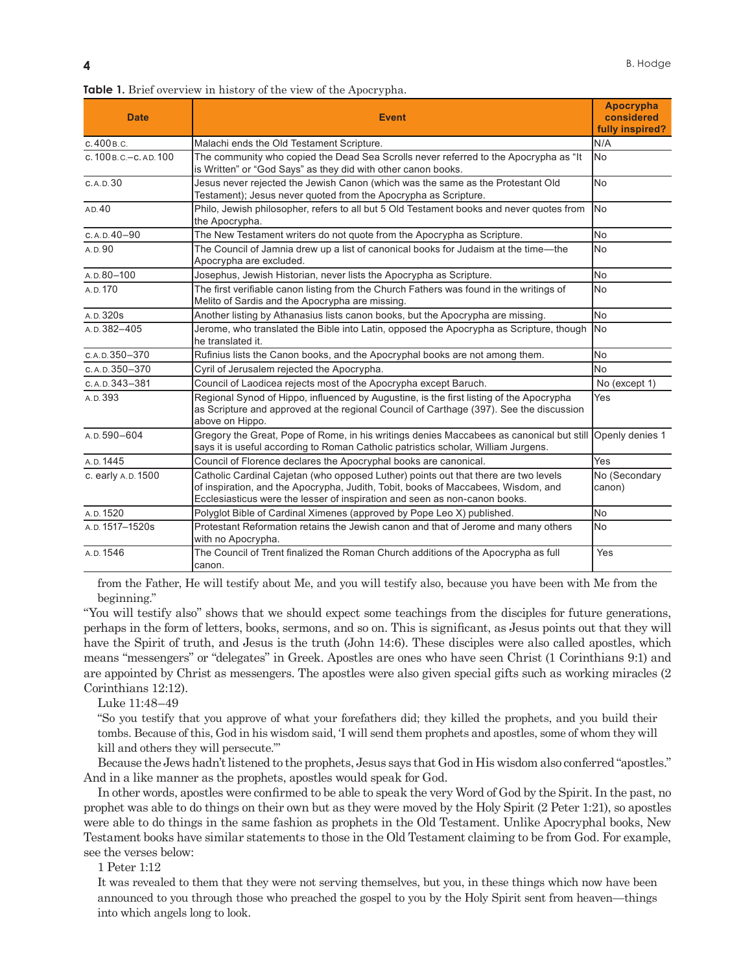| <b>Date</b>                 | <b>Event</b>                                                                                                                                                                                                                                           | <b>Apocrypha</b><br>considered<br>fully inspired? |
|-----------------------------|--------------------------------------------------------------------------------------------------------------------------------------------------------------------------------------------------------------------------------------------------------|---------------------------------------------------|
| с. 400 в. с.                | Malachi ends the Old Testament Scripture.                                                                                                                                                                                                              | N/A                                               |
| $c.100$ B.C. - C. AD. $100$ | The community who copied the Dead Sea Scrolls never referred to the Apocrypha as "It<br>is Written" or "God Says" as they did with other canon books.                                                                                                  | lNo                                               |
| C.A.D.30                    | Jesus never rejected the Jewish Canon (which was the same as the Protestant Old<br>Testament); Jesus never quoted from the Apocrypha as Scripture.                                                                                                     | lNo                                               |
| AD.40                       | Philo, Jewish philosopher, refers to all but 5 Old Testament books and never quotes from<br>the Apocrypha.                                                                                                                                             | lNo                                               |
| $C.A.D.40-90$               | The New Testament writers do not quote from the Apocrypha as Scripture.                                                                                                                                                                                | No                                                |
| A.D.90                      | The Council of Jamnia drew up a list of canonical books for Judaism at the time—the<br>Apocrypha are excluded.                                                                                                                                         | lNo                                               |
| $A.D.80-100$                | Josephus, Jewish Historian, never lists the Apocrypha as Scripture.                                                                                                                                                                                    | lNo                                               |
| A.D. 170                    | The first verifiable canon listing from the Church Fathers was found in the writings of<br>Melito of Sardis and the Apocrypha are missing.                                                                                                             | N <sub>0</sub>                                    |
| A.D. 320s                   | Another listing by Athanasius lists canon books, but the Apocrypha are missing.                                                                                                                                                                        | lNo                                               |
| A.D. 382-405                | Jerome, who translated the Bible into Latin, opposed the Apocrypha as Scripture, though<br>he translated it.                                                                                                                                           | lNo                                               |
| c.a. p. 350-370             | Rufinius lists the Canon books, and the Apocryphal books are not among them.                                                                                                                                                                           | N <sub>0</sub>                                    |
| c. A.D. 350-370             | Cyril of Jerusalem rejected the Apocrypha.                                                                                                                                                                                                             | lNo                                               |
| c. A.D. 343-381             | Council of Laodicea rejects most of the Apocrypha except Baruch.                                                                                                                                                                                       | No (except 1)                                     |
| A.D. 393                    | Regional Synod of Hippo, influenced by Augustine, is the first listing of the Apocrypha<br>as Scripture and approved at the regional Council of Carthage (397). See the discussion<br>above on Hippo.                                                  | Yes                                               |
| A.D.590-604                 | Gregory the Great, Pope of Rome, in his writings denies Maccabees as canonical but still<br>says it is useful according to Roman Catholic patristics scholar, William Jurgens.                                                                         | Openly denies 1                                   |
| A.D. 1445                   | Council of Florence declares the Apocryphal books are canonical.                                                                                                                                                                                       | Yes                                               |
| c. early A.D. 1500          | Catholic Cardinal Cajetan (who opposed Luther) points out that there are two levels<br>of inspiration, and the Apocrypha, Judith, Tobit, books of Maccabees, Wisdom, and<br>Ecclesiasticus were the lesser of inspiration and seen as non-canon books. | No (Secondary<br>canon)                           |
| A.D. 1520                   | Polyglot Bible of Cardinal Ximenes (approved by Pope Leo X) published.                                                                                                                                                                                 | N <sub>o</sub>                                    |
| A.D. 1517-1520s             | Protestant Reformation retains the Jewish canon and that of Jerome and many others<br>with no Apocrypha.                                                                                                                                               | lNo                                               |
| A.D. 1546                   | The Council of Trent finalized the Roman Church additions of the Apocrypha as full<br>canon.                                                                                                                                                           | Yes                                               |

**Table 1.** Brief overview in history of the view of the Apocrypha.

from the Father, He will testify about Me, and you will testify also, because you have been with Me from the beginning."

"You will testify also" shows that we should expect some teachings from the disciples for future generations, perhaps in the form of letters, books, sermons, and so on. This is significant, as Jesus points out that they will have the Spirit of truth, and Jesus is the truth (John 14:6). These disciples were also called apostles, which means "messengers" or "delegates" in Greek. Apostles are ones who have seen Christ (1 Corinthians 9:1) and are appointed by Christ as messengers. The apostles were also given special gifts such as working miracles (2 Corinthians 12:12).

Luke 11:48–49

"So you testify that you approve of what your forefathers did; they killed the prophets, and you build their tombs. Because of this, God in his wisdom said, 'I will send them prophets and apostles, some of whom they will kill and others they will persecute.'"

Because the Jews hadn't listened to the prophets, Jesus says that God in His wisdom also conferred "apostles." And in a like manner as the prophets, apostles would speak for God.

In other words, apostles were confirmed to be able to speak the very Word of God by the Spirit. In the past, no prophet was able to do things on their own but as they were moved by the Holy Spirit (2 Peter 1:21), so apostles were able to do things in the same fashion as prophets in the Old Testament. Unlike Apocryphal books, New Testament books have similar statements to those in the Old Testament claiming to be from God. For example, see the verses below:

1 Peter 1:12

It was revealed to them that they were not serving themselves, but you, in these things which now have been announced to you through those who preached the gospel to you by the Holy Spirit sent from heaven—things into which angels long to look.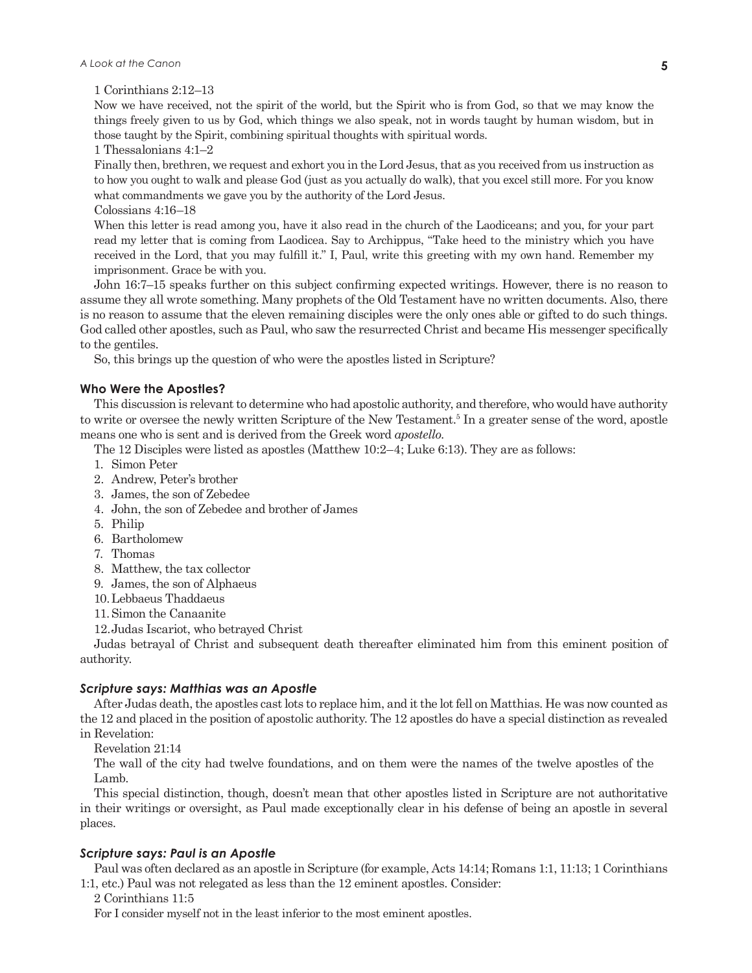1 Corinthians 2:12–13

Now we have received, not the spirit of the world, but the Spirit who is from God, so that we may know the things freely given to us by God, which things we also speak, not in words taught by human wisdom, but in those taught by the Spirit, combining spiritual thoughts with spiritual words.

1 Thessalonians 4:1–2

Finally then, brethren, we request and exhort you in the Lord Jesus, that as you received from us instruction as to how you ought to walk and please God (just as you actually do walk), that you excel still more. For you know what commandments we gave you by the authority of the Lord Jesus.

Colossians 4:16–18

When this letter is read among you, have it also read in the church of the Laodiceans; and you, for your part read my letter that is coming from Laodicea. Say to Archippus, "Take heed to the ministry which you have received in the Lord, that you may fulfill it." I, Paul, write this greeting with my own hand. Remember my imprisonment. Grace be with you.

John 16:7–15 speaks further on this subject confirming expected writings. However, there is no reason to assume they all wrote something. Many prophets of the Old Testament have no written documents. Also, there is no reason to assume that the eleven remaining disciples were the only ones able or gifted to do such things. God called other apostles, such as Paul, who saw the resurrected Christ and became His messenger specifically to the gentiles.

So, this brings up the question of who were the apostles listed in Scripture?

## **Who Were the Apostles?**

This discussion is relevant to determine who had apostolic authority, and therefore, who would have authority to write or oversee the newly written Scripture of the New Testament.<sup>5</sup> In a greater sense of the word, apostle means one who is sent and is derived from the Greek word *apostello*.

The 12 Disciples were listed as apostles (Matthew 10:2–4; Luke 6:13). They are as follows:

- 1. Simon Peter
- 2. Andrew, Peter's brother
- 3. James, the son of Zebedee
- 4. John, the son of Zebedee and brother of James
- 5. Philip
- 6. Bartholomew
- 7. Thomas
- 8. Matthew, the tax collector
- 9. James, the son of Alphaeus
- 10. Lebbaeus Thaddaeus
- 11. Simon the Canaanite

12. Judas Iscariot, who betrayed Christ

Judas betrayal of Christ and subsequent death thereafter eliminated him from this eminent position of authority.

## *Scripture says: Matthias was an Apostle*

After Judas death, the apostles cast lots to replace him, and it the lot fell on Matthias. He was now counted as the 12 and placed in the position of apostolic authority. The 12 apostles do have a special distinction as revealed in Revelation:

Revelation 21:14

The wall of the city had twelve foundations, and on them were the names of the twelve apostles of the Lamb.

This special distinction, though, doesn't mean that other apostles listed in Scripture are not authoritative in their writings or oversight, as Paul made exceptionally clear in his defense of being an apostle in several places.

## *Scripture says: Paul is an Apostle*

Paul was often declared as an apostle in Scripture (for example, Acts 14:14; Romans 1:1, 11:13; 1 Corinthians 1:1, etc.) Paul was not relegated as less than the 12 eminent apostles. Consider:

2 Corinthians 11:5

For I consider myself not in the least inferior to the most eminent apostles.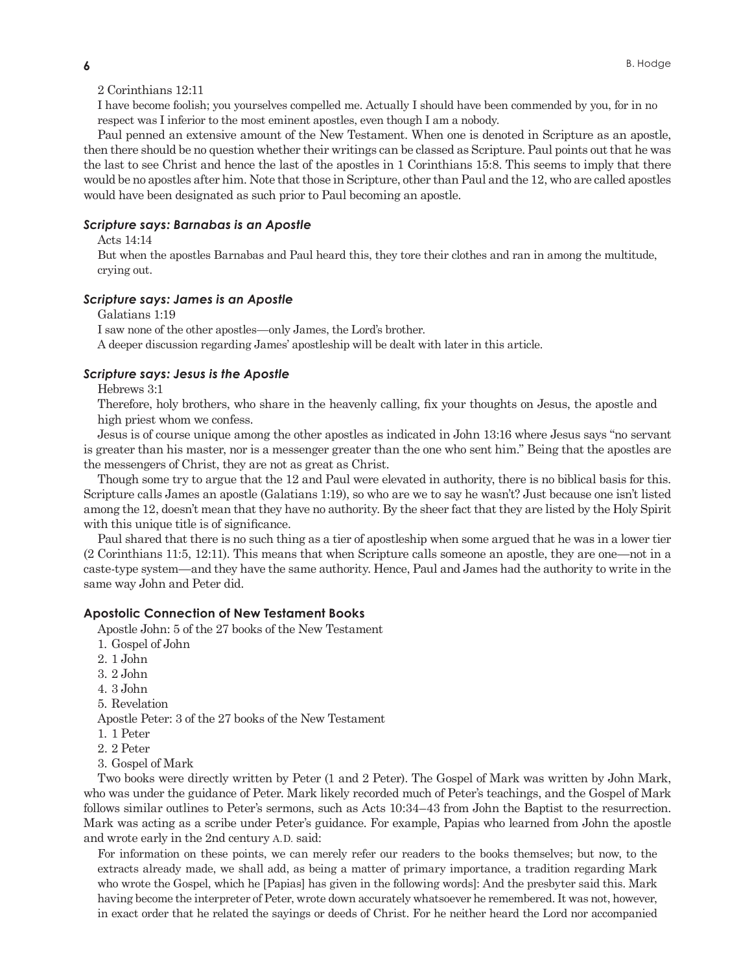2 Corinthians 12:11

I have become foolish; you yourselves compelled me. Actually I should have been commended by you, for in no respect was I inferior to the most eminent apostles, even though I am a nobody.

Paul penned an extensive amount of the New Testament. When one is denoted in Scripture as an apostle, then there should be no question whether their writings can be classed as Scripture. Paul points out that he was the last to see Christ and hence the last of the apostles in 1 Corinthians 15:8. This seems to imply that there would be no apostles after him. Note that those in Scripture, other than Paul and the 12, who are called apostles would have been designated as such prior to Paul becoming an apostle.

## *Scripture says: Barnabas is an Apostle*

Acts 14:14

But when the apostles Barnabas and Paul heard this, they tore their clothes and ran in among the multitude, crying out.

## *Scripture says: James is an Apostle*

Galatians 1:19

I saw none of the other apostles—only James, the Lord's brother.

A deeper discussion regarding James' apostleship will be dealt with later in this article.

## *Scripture says: Jesus is the Apostle*

Hebrews 3:1

Therefore, holy brothers, who share in the heavenly calling, fix your thoughts on Jesus, the apostle and high priest whom we confess.

Jesus is of course unique among the other apostles as indicated in John 13:16 where Jesus says "no servant is greater than his master, nor is a messenger greater than the one who sent him." Being that the apostles are the messengers of Christ, they are not as great as Christ.

Though some try to argue that the 12 and Paul were elevated in authority, there is no biblical basis for this. Scripture calls James an apostle (Galatians 1:19), so who are we to say he wasn't? Just because one isn't listed among the 12, doesn't mean that they have no authority. By the sheer fact that they are listed by the Holy Spirit with this unique title is of significance.

Paul shared that there is no such thing as a tier of apostleship when some argued that he was in a lower tier (2 Corinthians 11:5, 12:11). This means that when Scripture calls someone an apostle, they are one—not in a caste-type system—and they have the same authority. Hence, Paul and James had the authority to write in the same way John and Peter did.

## **Apostolic Connection of New Testament Books**

Apostle John: 5 of the 27 books of the New Testament

- 1. Gospel of John
- 2. 1 John
- 3. 2 John
- 4. 3 John
- 5. Revelation

Apostle Peter: 3 of the 27 books of the New Testament

- 1. 1 Peter
- 2. 2 Peter
- 3. Gospel of Mark

Two books were directly written by Peter (1 and 2 Peter). The Gospel of Mark was written by John Mark, who was under the guidance of Peter. Mark likely recorded much of Peter's teachings, and the Gospel of Mark follows similar outlines to Peter's sermons, such as Acts 10:34–43 from John the Baptist to the resurrection. Mark was acting as a scribe under Peter's guidance. For example, Papias who learned from John the apostle and wrote early in the 2nd century A. D. said:

For information on these points, we can merely refer our readers to the books themselves; but now, to the extracts already made, we shall add, as being a matter of primary importance, a tradition regarding Mark who wrote the Gospel, which he [Papias] has given in the following words]: And the presbyter said this. Mark having become the interpreter of Peter, wrote down accurately whatsoever he remembered. It was not, however, in exact order that he related the sayings or deeds of Christ. For he neither heard the Lord nor accompanied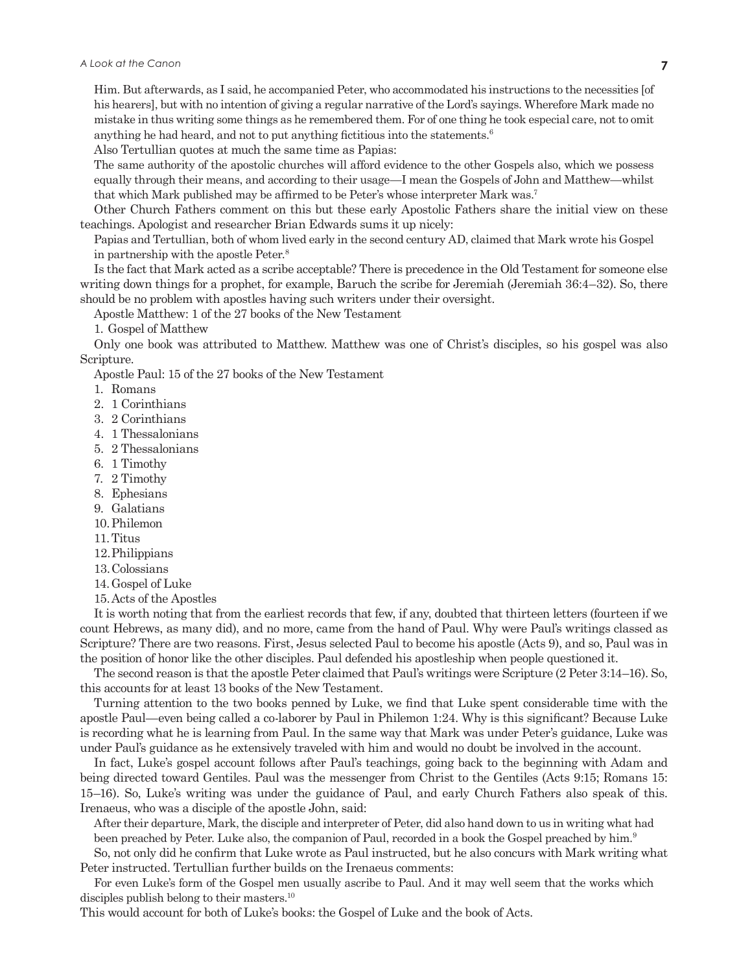Him. But afterwards, as I said, he accompanied Peter, who accommodated his instructions to the necessities [of his hearers], but with no intention of giving a regular narrative of the Lord's sayings. Wherefore Mark made no mistake in thus writing some things as he remembered them. For of one thing he took especial care, not to omit anything he had heard, and not to put anything fictitious into the statements.6

Also Tertullian quotes at much the same time as Papias:

The same authority of the apostolic churches will afford evidence to the other Gospels also, which we possess equally through their means, and according to their usage—I mean the Gospels of John and Matthew—whilst that which Mark published may be affirmed to be Peter's whose interpreter Mark was.7

Other Church Fathers comment on this but these early Apostolic Fathers share the initial view on these teachings. Apologist and researcher Brian Edwards sums it up nicely:

Papias and Tertullian, both of whom lived early in the second century AD, claimed that Mark wrote his Gospel in partnership with the apostle Peter.8

Is the fact that Mark acted as a scribe acceptable? There is precedence in the Old Testament for someone else writing down things for a prophet, for example, Baruch the scribe for Jeremiah (Jeremiah 36:4–32). So, there should be no problem with apostles having such writers under their oversight.

Apostle Matthew: 1 of the 27 books of the New Testament

1. Gospel of Matthew

Only one book was attributed to Matthew. Matthew was one of Christ's disciples, so his gospel was also Scripture.

Apostle Paul: 15 of the 27 books of the New Testament

1. Romans

- 2. 1 Corinthians
- 3. 2 Corinthians
- 4. 1 Thessalonians
- 5. 2 Thessalonians
- 6. 1 Timothy
- 7. 2 Timothy
- 8. Ephesians
- 9. Galatians
- 10. Philemon
- 11. Titus
- 12. Philippians
- 13. Colossians
- 14. Gospel of Luke
- 15. Acts of the Apostles

It is worth noting that from the earliest records that few, if any, doubted that thirteen letters (fourteen if we count Hebrews, as many did), and no more, came from the hand of Paul. Why were Paul's writings classed as Scripture? There are two reasons. First, Jesus selected Paul to become his apostle (Acts 9), and so, Paul was in the position of honor like the other disciples. Paul defended his apostleship when people questioned it.

The second reason is that the apostle Peter claimed that Paul's writings were Scripture (2 Peter 3:14–16). So, this accounts for at least 13 books of the New Testament.

Turning attention to the two books penned by Luke, we find that Luke spent considerable time with the apostle Paul—even being called a co-laborer by Paul in Philemon 1:24. Why is this significant? Because Luke is recording what he is learning from Paul. In the same way that Mark was under Peter's guidance, Luke was under Paul's guidance as he extensively traveled with him and would no doubt be involved in the account.

In fact, Luke's gospel account follows after Paul's teachings, going back to the beginning with Adam and being directed toward Gentiles. Paul was the messenger from Christ to the Gentiles (Acts 9:15; Romans 15: 15–16). So, Luke's writing was under the guidance of Paul, and early Church Fathers also speak of this. Irenaeus, who was a disciple of the apostle John, said:

After their departure, Mark, the disciple and interpreter of Peter, did also hand down to us in writing what had been preached by Peter. Luke also, the companion of Paul, recorded in a book the Gospel preached by him.<sup>9</sup>

So, not only did he confirm that Luke wrote as Paul instructed, but he also concurs with Mark writing what Peter instructed. Tertullian further builds on the Irenaeus comments:

For even Luke's form of the Gospel men usually ascribe to Paul. And it may well seem that the works which disciples publish belong to their masters.<sup>10</sup>

This would account for both of Luke's books: the Gospel of Luke and the book of Acts.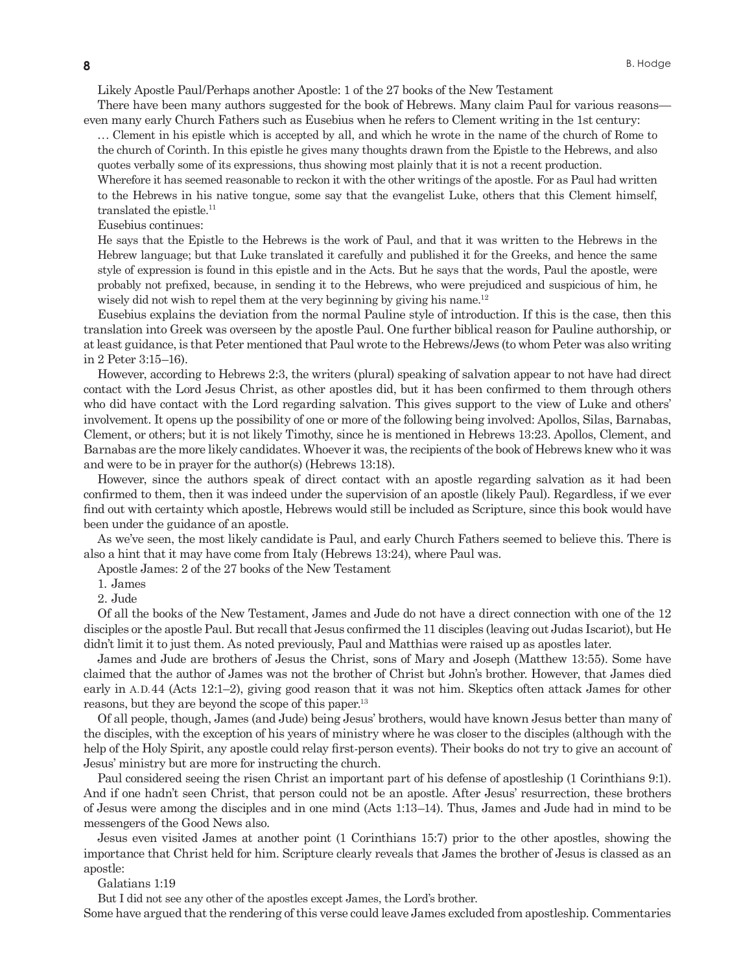Likely Apostle Paul/Perhaps another Apostle: 1 of the 27 books of the New Testament

There have been many authors suggested for the book of Hebrews. Many claim Paul for various reasons even many early Church Fathers such as Eusebius when he refers to Clement writing in the 1st century:

. . . Clement in his epistle which is accepted by all, and which he wrote in the name of the church of Rome to the church of Corinth. In this epistle he gives many thoughts drawn from the Epistle to the Hebrews, and also quotes verbally some of its expressions, thus showing most plainly that it is not a recent production.

Wherefore it has seemed reasonable to reckon it with the other writings of the apostle. For as Paul had written to the Hebrews in his native tongue, some say that the evangelist Luke, others that this Clement himself, translated the epistle.<sup>11</sup>

Eusebius continues:

He says that the Epistle to the Hebrews is the work of Paul, and that it was written to the Hebrews in the Hebrew language; but that Luke translated it carefully and published it for the Greeks, and hence the same style of expression is found in this epistle and in the Acts. But he says that the words, Paul the apostle, were probably not prefixed, because, in sending it to the Hebrews, who were prejudiced and suspicious of him, he wisely did not wish to repel them at the very beginning by giving his name.<sup>12</sup>

Eusebius explains the deviation from the normal Pauline style of introduction. If this is the case, then this translation into Greek was overseen by the apostle Paul. One further biblical reason for Pauline authorship, or at least guidance, is that Peter mentioned that Paul wrote to the Hebrews/Jews (to whom Peter was also writing in 2 Peter 3:15–16).

However, according to Hebrews 2:3, the writers (plural) speaking of salvation appear to not have had direct contact with the Lord Jesus Christ, as other apostles did, but it has been confirmed to them through others who did have contact with the Lord regarding salvation. This gives support to the view of Luke and others' involvement. It opens up the possibility of one or more of the following being involved: Apollos, Silas, Barnabas, Clement, or others; but it is not likely Timothy, since he is mentioned in Hebrews 13:23. Apollos, Clement, and Barnabas are the more likely candidates. Whoever it was, the recipients of the book of Hebrews knew who it was and were to be in prayer for the author(s) (Hebrews 13:18).

However, since the authors speak of direct contact with an apostle regarding salvation as it had been confirmed to them, then it was indeed under the supervision of an apostle (likely Paul). Regardless, if we ever find out with certainty which apostle, Hebrews would still be included as Scripture, since this book would have been under the guidance of an apostle.

As we've seen, the most likely candidate is Paul, and early Church Fathers seemed to believe this. There is also a hint that it may have come from Italy (Hebrews 13:24), where Paul was.

Apostle James: 2 of the 27 books of the New Testament

1. James

2. Jude

Of all the books of the New Testament, James and Jude do not have a direct connection with one of the 12 disciples or the apostle Paul. But recall that Jesus confirmed the 11 disciples (leaving out Judas Iscariot), but He didn't limit it to just them. As noted previously, Paul and Matthias were raised up as apostles later.

James and Jude are brothers of Jesus the Christ, sons of Mary and Joseph (Matthew 13:55). Some have claimed that the author of James was not the brother of Christ but John's brother. However, that James died early in A. D. 44 (Acts 12:1–2), giving good reason that it was not him. Skeptics often attack James for other reasons, but they are beyond the scope of this paper.<sup>13</sup>

Of all people, though, James (and Jude) being Jesus' brothers, would have known Jesus better than many of the disciples, with the exception of his years of ministry where he was closer to the disciples (although with the help of the Holy Spirit, any apostle could relay first-person events). Their books do not try to give an account of Jesus' ministry but are more for instructing the church.

Paul considered seeing the risen Christ an important part of his defense of apostleship (1 Corinthians 9:1). And if one hadn't seen Christ, that person could not be an apostle. After Jesus' resurrection, these brothers of Jesus were among the disciples and in one mind (Acts 1:13–14). Thus, James and Jude had in mind to be messengers of the Good News also.

Jesus even visited James at another point (1 Corinthians 15:7) prior to the other apostles, showing the importance that Christ held for him. Scripture clearly reveals that James the brother of Jesus is classed as an apostle:

Galatians 1:19

But I did not see any other of the apostles except James, the Lord's brother.

Some have argued that the rendering of this verse could leave James excluded from apostleship. Commentaries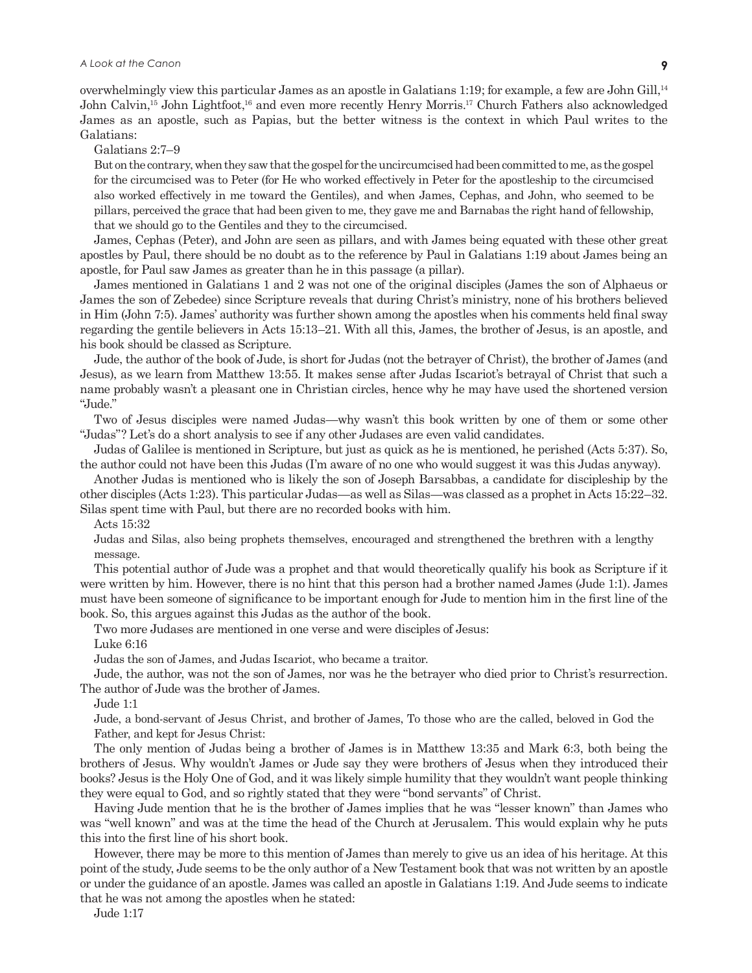overwhelmingly view this particular James as an apostle in Galatians 1:19; for example, a few are John Gill,14 John Calvin,<sup>15</sup> John Lightfoot,<sup>16</sup> and even more recently Henry Morris.<sup>17</sup> Church Fathers also acknowledged James as an apostle, such as Papias, but the better witness is the context in which Paul writes to the Galatians:

Galatians 2:7–9

But on the contrary, when they saw that the gospel for the uncircumcised had been committed to me, as the gospel for the circumcised was to Peter (for He who worked effectively in Peter for the apostleship to the circumcised also worked effectively in me toward the Gentiles), and when James, Cephas, and John, who seemed to be pillars, perceived the grace that had been given to me, they gave me and Barnabas the right hand of fellowship, that we should go to the Gentiles and they to the circumcised.

James, Cephas (Peter), and John are seen as pillars, and with James being equated with these other great apostles by Paul, there should be no doubt as to the reference by Paul in Galatians 1:19 about James being an apostle, for Paul saw James as greater than he in this passage (a pillar).

James mentioned in Galatians 1 and 2 was not one of the original disciples (James the son of Alphaeus or James the son of Zebedee) since Scripture reveals that during Christ's ministry, none of his brothers believed in Him (John 7:5). James' authority was further shown among the apostles when his comments held final sway regarding the gentile believers in Acts 15:13–21. With all this, James, the brother of Jesus, is an apostle, and his book should be classed as Scripture.

Jude, the author of the book of Jude, is short for Judas (not the betrayer of Christ), the brother of James (and Jesus), as we learn from Matthew 13:55. It makes sense after Judas Iscariot's betrayal of Christ that such a name probably wasn't a pleasant one in Christian circles, hence why he may have used the shortened version "Jude."

Two of Jesus disciples were named Judas—why wasn't this book written by one of them or some other "Judas"? Let's do a short analysis to see if any other Judases are even valid candidates.

Judas of Galilee is mentioned in Scripture, but just as quick as he is mentioned, he perished (Acts 5:37). So, the author could not have been this Judas (I'm aware of no one who would suggest it was this Judas anyway).

Another Judas is mentioned who is likely the son of Joseph Barsabbas, a candidate for discipleship by the other disciples (Acts 1:23). This particular Judas—as well as Silas—was classed as a prophet in Acts 15:22–32. Silas spent time with Paul, but there are no recorded books with him.

Acts 15:32

Judas and Silas, also being prophets themselves, encouraged and strengthened the brethren with a lengthy message.

This potential author of Jude was a prophet and that would theoretically qualify his book as Scripture if it were written by him. However, there is no hint that this person had a brother named James (Jude 1:1). James must have been someone of significance to be important enough for Jude to mention him in the first line of the book. So, this argues against this Judas as the author of the book.

Two more Judases are mentioned in one verse and were disciples of Jesus:

Luke 6:16

Judas the son of James, and Judas Iscariot, who became a traitor.

Jude, the author, was not the son of James, nor was he the betrayer who died prior to Christ's resurrection. The author of Jude was the brother of James.

Jude 1:1

Jude, a bond-servant of Jesus Christ, and brother of James, To those who are the called, beloved in God the Father, and kept for Jesus Christ:

The only mention of Judas being a brother of James is in Matthew 13:35 and Mark 6:3, both being the brothers of Jesus. Why wouldn't James or Jude say they were brothers of Jesus when they introduced their books? Jesus is the Holy One of God, and it was likely simple humility that they wouldn't want people thinking they were equal to God, and so rightly stated that they were "bond servants" of Christ.

Having Jude mention that he is the brother of James implies that he was "lesser known" than James who was "well known" and was at the time the head of the Church at Jerusalem. This would explain why he puts this into the first line of his short book.

However, there may be more to this mention of James than merely to give us an idea of his heritage. At this point of the study, Jude seems to be the only author of a New Testament book that was not written by an apostle or under the guidance of an apostle. James was called an apostle in Galatians 1:19. And Jude seems to indicate that he was not among the apostles when he stated:

Jude 1:17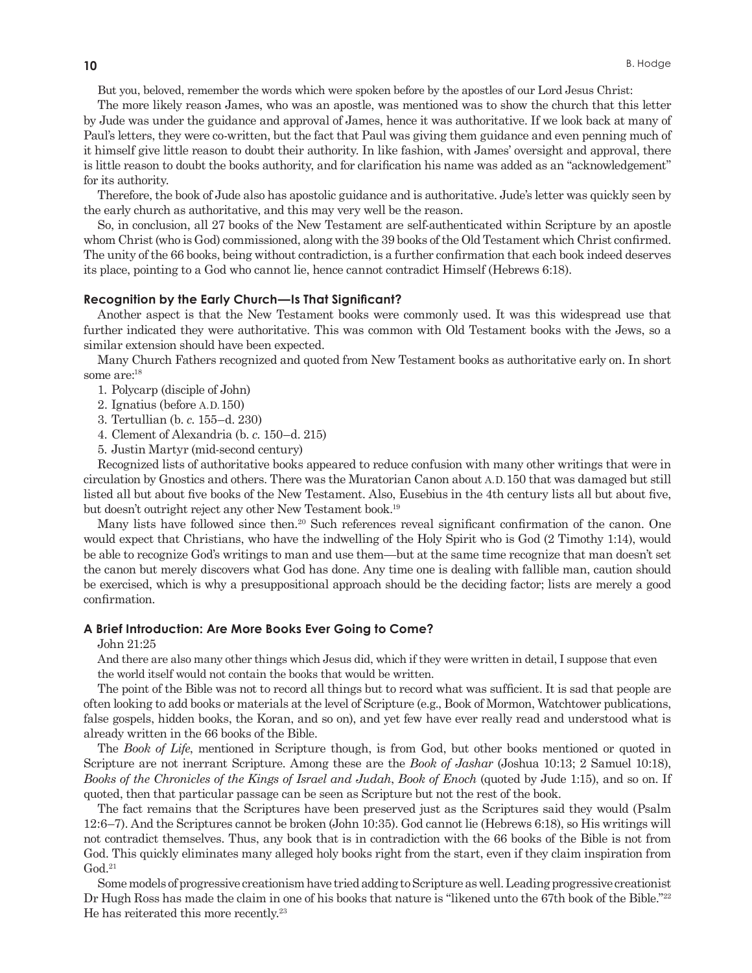But you, beloved, remember the words which were spoken before by the apostles of our Lord Jesus Christ:

The more likely reason James, who was an apostle, was mentioned was to show the church that this letter by Jude was under the guidance and approval of James, hence it was authoritative. If we look back at many of Paul's letters, they were co-written, but the fact that Paul was giving them guidance and even penning much of it himself give little reason to doubt their authority. In like fashion, with James' oversight and approval, there is little reason to doubt the books authority, and for clarification his name was added as an "acknowledgement" for its authority.

Therefore, the book of Jude also has apostolic guidance and is authoritative. Jude's letter was quickly seen by the early church as authoritative, and this may very well be the reason.

So, in conclusion, all 27 books of the New Testament are self-authenticated within Scripture by an apostle whom Christ (who is God) commissioned, along with the 39 books of the Old Testament which Christ confirmed. The unity of the 66 books, being without contradiction, is a further confirmation that each book indeed deserves its place, pointing to a God who cannot lie, hence cannot contradict Himself (Hebrews 6:18).

#### **Recognition by the Early Church—Is That Significant?**

Another aspect is that the New Testament books were commonly used. It was this widespread use that further indicated they were authoritative. This was common with Old Testament books with the Jews, so a similar extension should have been expected.

Many Church Fathers recognized and quoted from New Testament books as authoritative early on. In short some are:<sup>18</sup>

1. Polycarp (disciple of John)

- 2. Ignatius (before A. D. 150)
- 3. Tertullian (b. *c*. 155–d. 230)
- 4. Clement of Alexandria (b. *c*. 150–d. 215)
- 5. Justin Martyr (mid-second century)

Recognized lists of authoritative books appeared to reduce confusion with many other writings that were in circulation by Gnostics and others. There was the Muratorian Canon about A. D. 150 that was damaged but still listed all but about five books of the New Testament. Also, Eusebius in the 4th century lists all but about five, but doesn't outright reject any other New Testament book.19

Many lists have followed since then.<sup>20</sup> Such references reveal significant confirmation of the canon. One would expect that Christians, who have the indwelling of the Holy Spirit who is God (2 Timothy 1:14), would be able to recognize God's writings to man and use them—but at the same time recognize that man doesn't set the canon but merely discovers what God has done. Any time one is dealing with fallible man, caution should be exercised, which is why a presuppositional approach should be the deciding factor; lists are merely a good confirmation.

#### **A Brief Introduction: Are More Books Ever Going to Come?**

John 21:25

And there are also many other things which Jesus did, which if they were written in detail, I suppose that even the world itself would not contain the books that would be written.

The point of the Bible was not to record all things but to record what was sufficient. It is sad that people are often looking to add books or materials at the level of Scripture (e.g., Book of Mormon, Watchtower publications, false gospels, hidden books, the Koran, and so on), and yet few have ever really read and understood what is already written in the 66 books of the Bible.

The *Book of Life*, mentioned in Scripture though, is from God, but other books mentioned or quoted in Scripture are not inerrant Scripture. Among these are the *Book of Jashar* (Joshua 10:13; 2 Samuel 10:18), *Books of the Chronicles of the Kings of Israel and Judah*, *Book of Enoch* (quoted by Jude 1:15), and so on. If quoted, then that particular passage can be seen as Scripture but not the rest of the book.

The fact remains that the Scriptures have been preserved just as the Scriptures said they would (Psalm 12:6–7). And the Scriptures cannot be broken (John 10:35). God cannot lie (Hebrews 6:18), so His writings will not contradict themselves. Thus, any book that is in contradiction with the 66 books of the Bible is not from God. This quickly eliminates many alleged holy books right from the start, even if they claim inspiration from  $God.<sup>21</sup>$ 

Some models of progressive creationism have tried adding to Scripture as well. Leading progressive creationist Dr Hugh Ross has made the claim in one of his books that nature is "likened unto the 67th book of the Bible."<sup>22</sup> He has reiterated this more recently.23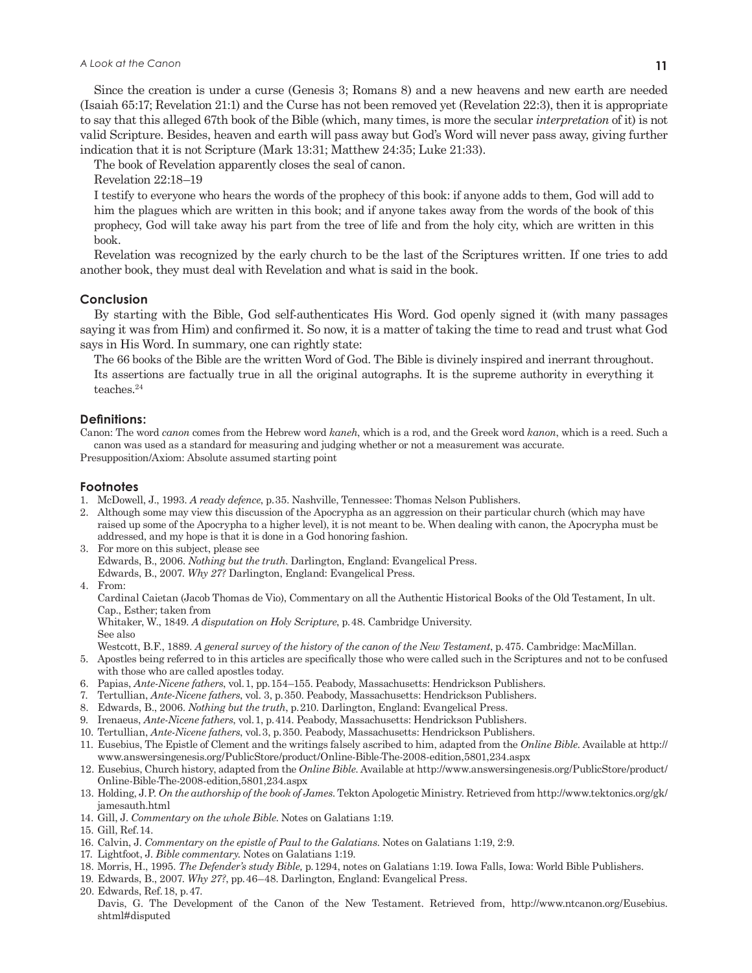Since the creation is under a curse (Genesis 3; Romans 8) and a new heavens and new earth are needed (Isaiah 65:17; Revelation 21:1) and the Curse has not been removed yet (Revelation 22:3), then it is appropriate to say that this alleged 67th book of the Bible (which, many times, is more the secular *interpretation* of it) is not valid Scripture. Besides, heaven and earth will pass away but God's Word will never pass away, giving further indication that it is not Scripture (Mark 13:31; Matthew 24:35; Luke 21:33).

The book of Revelation apparently closes the seal of canon.

Revelation 22:18–19

I testify to everyone who hears the words of the prophecy of this book: if anyone adds to them, God will add to him the plagues which are written in this book; and if anyone takes away from the words of the book of this prophecy, God will take away his part from the tree of life and from the holy city, which are written in this book.

Revelation was recognized by the early church to be the last of the Scriptures written. If one tries to add another book, they must deal with Revelation and what is said in the book.

## **Conclusion**

By starting with the Bible, God self-authenticates His Word. God openly signed it (with many passages saying it was from Him) and confirmed it. So now, it is a matter of taking the time to read and trust what God says in His Word. In summary, one can rightly state:

The 66 books of the Bible are the written Word of God. The Bible is divinely inspired and inerrant throughout. Its assertions are factually true in all the original autographs. It is the supreme authority in everything it teaches.24

#### **Definitions:**

Canon: The word *canon* comes from the Hebrew word *kaneh*, which is a rod, and the Greek word *kanon*, which is a reed. Such a canon was used as a standard for measuring and judging whether or not a measurement was accurate. Presupposition/Axiom: Absolute assumed starting point

#### **Footnotes**

- 1. McDowell, J., 1993. *A ready defence*, p. 35. Nashville, Tennessee: Thomas Nelson Publishers.
- 2. Although some may view this discussion of the Apocrypha as an aggression on their particular church (which may have raised up some of the Apocrypha to a higher level), it is not meant to be. When dealing with canon, the Apocrypha must be addressed, and my hope is that it is done in a God honoring fashion.
- 3. For more on this subject, please see Edwards, B., 2006. *Nothing but the truth*. Darlington, England: Evangelical Press. Edwards, B., 2007. *Why 27?* Darlington, England: Evangelical Press. 4. From:

 Cardinal Caietan (Jacob Thomas de Vio), Commentary on all the Authentic Historical Books of the Old Testament, In ult. Cap., Esther; taken from

 Whitaker, W., 1849. *A disputation on Holy Scripture*, p. 48. Cambridge University. See also

Westcott, B.F., 1889. *A general survey of the history of the canon of the New Testament*, p. 475. Cambridge: MacMillan.

- 5. Apostles being referred to in this articles are specifically those who were called such in the Scriptures and not to be confused with those who are called apostles today.
- 6. Papias, *Ante-Nicene fathers*, vol. 1, pp. 154–155. Peabody, Massachusetts: Hendrickson Publishers.
- 7. Tertullian, *Ante-Nicene fathers*, vol. 3, p. 350. Peabody, Massachusetts: Hendrickson Publishers.
- 8. Edwards, B., 2006. *Nothing but the truth*, p. 210. Darlington, England: Evangelical Press.
- 9. Irenaeus, *Ante-Nicene fathers*, vol. 1, p. 414. Peabody, Massachusetts: Hendrickson Publishers.
- 10. Tertullian, *Ante-Nicene fathers*, vol. 3, p. 350. Peabody, Massachusetts: Hendrickson Publishers.
- 11. Eusebius, The Epistle of Clement and the writings falsely ascribed to him, adapted from the *Online Bible*. Available at http:// www.answersingenesis.org/PublicStore/product/Online-Bible-The-2008-edition,5801,234.aspx
- 12. Eusebius, Church history, adapted from the *Online Bible*. Available at http://www.answersingenesis.org/PublicStore/product/ Online-Bible-The-2008-edition,5801,234.aspx
- 13. Holding, J. P. *On the authorship of the book of James*. Tekton Apologetic Ministry. Retrieved from http://www.tektonics.org/gk/ jamesauth.html
- 14. Gill, J. *Commentary on the whole Bible*. Notes on Galatians 1:19.
- 15. Gill, Ref. 14.
- 16. Calvin, J. *Commentary on the epistle of Paul to the Galatians*. Notes on Galatians 1:19, 2:9.
- 17. Lightfoot, J. *Bible commentary*. Notes on Galatians 1:19.
- 18. Morris, H., 1995. *The Defender's study Bible,* p. 1294, notes on Galatians 1:19. Iowa Falls, Iowa: World Bible Publishers.
- 19. Edwards, B., 2007. *Why 27?*, pp. 46–48. Darlington, England: Evangelical Press.
- 20. Edwards, Ref. 18, p. 47.
- Davis, G. The Development of the Canon of the New Testament. Retrieved from, http://www.ntcanon.org/Eusebius. shtml#disputed